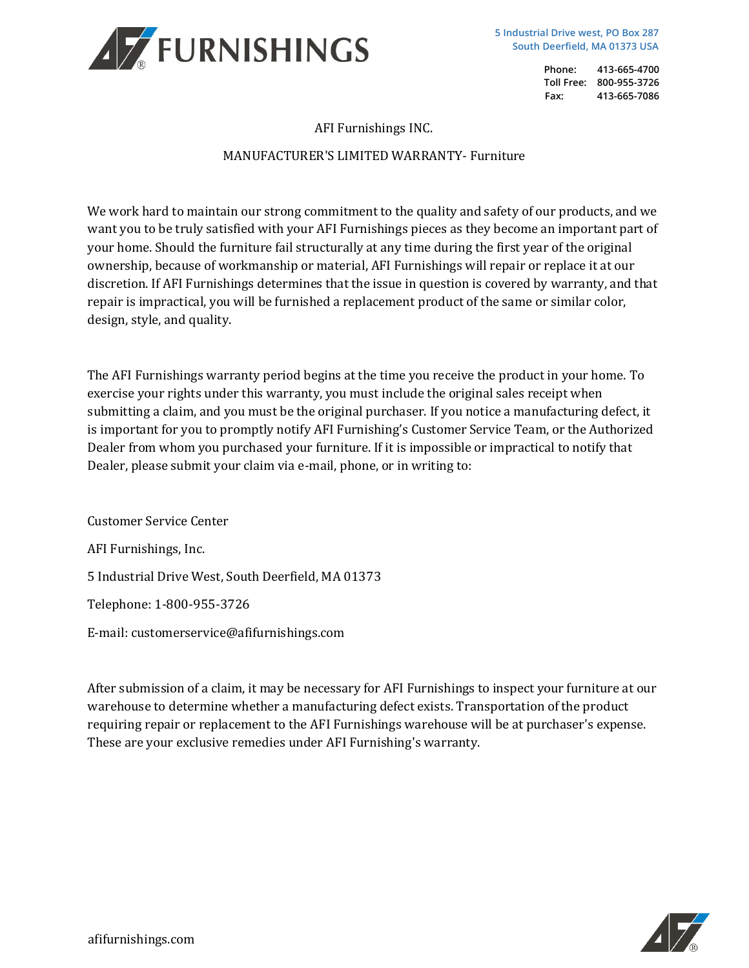

AFI Furnishings INC.

## MANUFACTURER'S LIMITED WARRANTY- Furniture

We work hard to maintain our strong commitment to the quality and safety of our products, and we want you to be truly satisfied with your AFI Furnishings pieces as they become an important part of your home. Should the furniture fail structurally at any time during the first year of the original ownership, because of workmanship or material, AFI Furnishings will repair or replace it at our discretion. If AFI Furnishings determines that the issue in question is covered by warranty, and that repair is impractical, you will be furnished a replacement product of the same or similar color, design, style, and quality.

The AFI Furnishings warranty period begins at the time you receive the product in your home. To exercise your rights under this warranty, you must include the original sales receipt when submitting a claim, and you must be the original purchaser. If you notice a manufacturing defect, it is important for you to promptly notify AFI Furnishing's Customer Service Team, or the Authorized Dealer from whom you purchased your furniture. If it is impossible or impractical to notify that Dealer, please submit your claim via e-mail, phone, or in writing to:

Customer Service Center AFI Furnishings, Inc. 5 Industrial Drive West, South Deerfield, MA 01373 Telephone: 1-800-955-3726 E-mail: customerservice@afifurnishings.com

After submission of a claim, it may be necessary for AFI Furnishings to inspect your furniture at our warehouse to determine whether a manufacturing defect exists. Transportation of the product requiring repair or replacement to the AFI Furnishings warehouse will be at purchaser's expense. These are your exclusive remedies under AFI Furnishing's warranty.

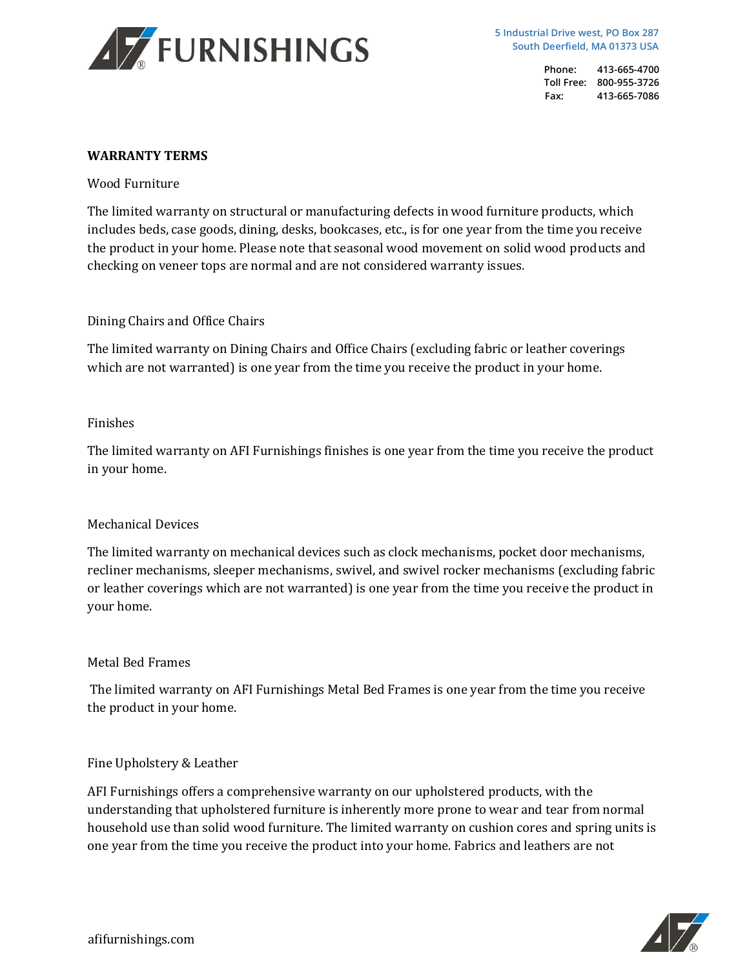

**5 Industrial Drive west, PO Box 287 South Deerfield, MA 01373 USA**

> **Phone: 413-665-4700 Toll Free: 800-955-3726 Fax: 413-665-7086**

### **WARRANTY TERMS**

Wood Furniture

The limited warranty on structural or manufacturing defects in wood furniture products, which includes beds, case goods, dining, desks, bookcases, etc., is for one year from the time you receive the product in your home. Please note that seasonal wood movement on solid wood products and checking on veneer tops are normal and are not considered warranty issues.

### Dining Chairs and Office Chairs

The limited warranty on Dining Chairs and Office Chairs (excluding fabric or leather coverings which are not warranted) is one year from the time you receive the product in your home.

### Finishes

The limited warranty on AFI Furnishings finishes is one year from the time you receive the product in your home.

### Mechanical Devices

The limited warranty on mechanical devices such as clock mechanisms, pocket door mechanisms, recliner mechanisms, sleeper mechanisms, swivel, and swivel rocker mechanisms (excluding fabric or leather coverings which are not warranted) is one year from the time you receive the product in your home.

# Metal Bed Frames

The limited warranty on AFI Furnishings Metal Bed Frames is one year from the time you receive the product in your home.

# Fine Upholstery & Leather

AFI Furnishings offers a comprehensive warranty on our upholstered products, with the understanding that upholstered furniture is inherently more prone to wear and tear from normal household use than solid wood furniture. The limited warranty on cushion cores and spring units is one year from the time you receive the product into your home. Fabrics and leathers are not

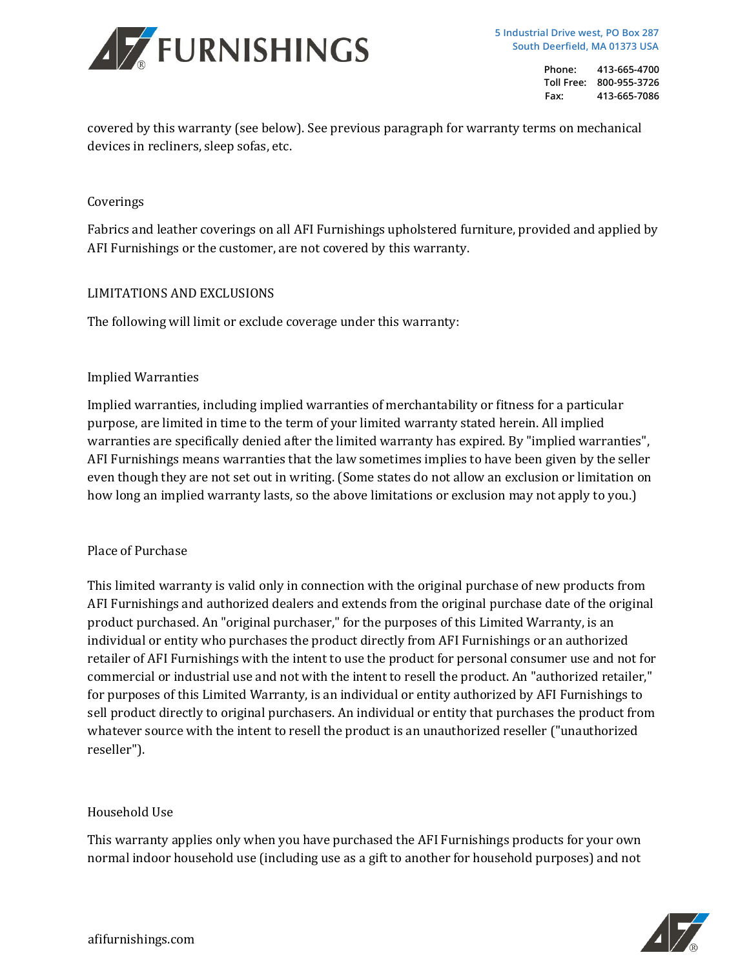

covered by this warranty (see below). See previous paragraph for warranty terms on mechanical devices in recliners, sleep sofas, etc.

### Coverings

Fabrics and leather coverings on all AFI Furnishings upholstered furniture, provided and applied by AFI Furnishings or the customer, are not covered by this warranty.

### LIMITATIONS AND EXCLUSIONS

The following will limit or exclude coverage under this warranty:

### Implied Warranties

Implied warranties, including implied warranties of merchantability or fitness for a particular purpose, are limited in time to the term of your limited warranty stated herein. All implied warranties are specifically denied after the limited warranty has expired. By "implied warranties", AFI Furnishings means warranties that the law sometimes implies to have been given by the seller even though they are not set out in writing. (Some states do not allow an exclusion or limitation on how long an implied warranty lasts, so the above limitations or exclusion may not apply to you.)

# Place of Purchase

This limited warranty is valid only in connection with the original purchase of new products from AFI Furnishings and authorized dealers and extends from the original purchase date of the original product purchased. An "original purchaser," for the purposes of this Limited Warranty, is an individual or entity who purchases the product directly from AFI Furnishings or an authorized retailer of AFI Furnishings with the intent to use the product for personal consumer use and not for commercial or industrial use and not with the intent to resell the product. An "authorized retailer," for purposes of this Limited Warranty, is an individual or entity authorized by AFI Furnishings to sell product directly to original purchasers. An individual or entity that purchases the product from whatever source with the intent to resell the product is an unauthorized reseller ("unauthorized reseller").

### Household Use

This warranty applies only when you have purchased the AFI Furnishings products for your own normal indoor household use (including use as a gift to another for household purposes) and not

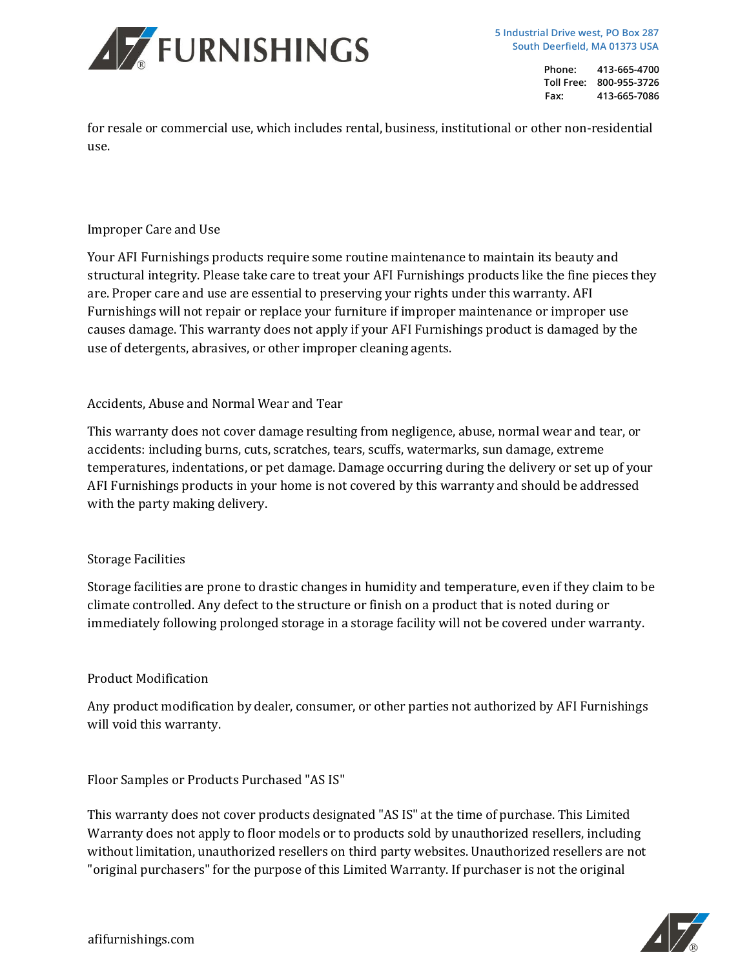

for resale or commercial use, which includes rental, business, institutional or other non-residential use.

# Improper Care and Use

Your AFI Furnishings products require some routine maintenance to maintain its beauty and structural integrity. Please take care to treat your AFI Furnishings products like the fine pieces they are. Proper care and use are essential to preserving your rights under this warranty. AFI Furnishings will not repair or replace your furniture if improper maintenance or improper use causes damage. This warranty does not apply if your AFI Furnishings product is damaged by the use of detergents, abrasives, or other improper cleaning agents.

### Accidents, Abuse and Normal Wear and Tear

This warranty does not cover damage resulting from negligence, abuse, normal wear and tear, or accidents: including burns, cuts, scratches, tears, scuffs, watermarks, sun damage, extreme temperatures, indentations, or pet damage. Damage occurring during the delivery or set up of your AFI Furnishings products in your home is not covered by this warranty and should be addressed with the party making delivery.

### Storage Facilities

Storage facilities are prone to drastic changes in humidity and temperature, even if they claim to be climate controlled. Any defect to the structure or finish on a product that is noted during or immediately following prolonged storage in a storage facility will not be covered under warranty.

### Product Modification

Any product modification by dealer, consumer, or other parties not authorized by AFI Furnishings will void this warranty.

Floor Samples or Products Purchased "AS IS"

This warranty does not cover products designated "AS IS" at the time of purchase. This Limited Warranty does not apply to floor models or to products sold by unauthorized resellers, including without limitation, unauthorized resellers on third party websites. Unauthorized resellers are not "original purchasers" for the purpose of this Limited Warranty. If purchaser is not the original